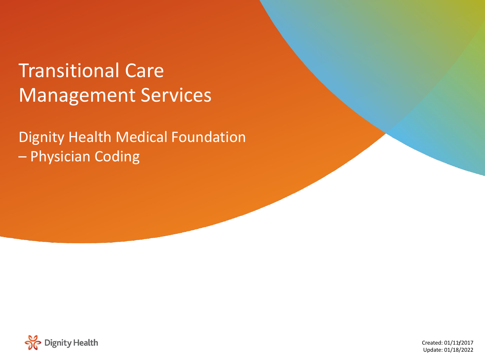# Transitional Care Management Services

Dignity Health Medical Foundation – Physician Coding

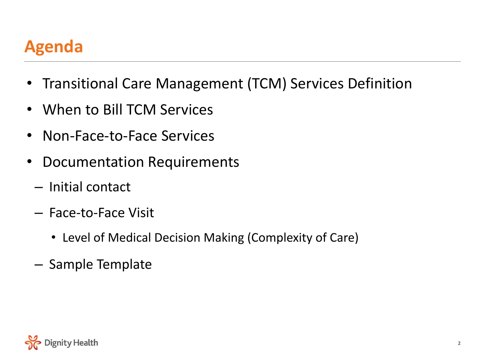### **Agenda**

- Transitional Care Management (TCM) Services Definition
- When to Bill TCM Services
- Non-Face-to-Face Services
- Documentation Requirements
	- Initial contact
	- Face-to-Face Visit
		- Level of Medical Decision Making (Complexity of Care)
	- Sample Template

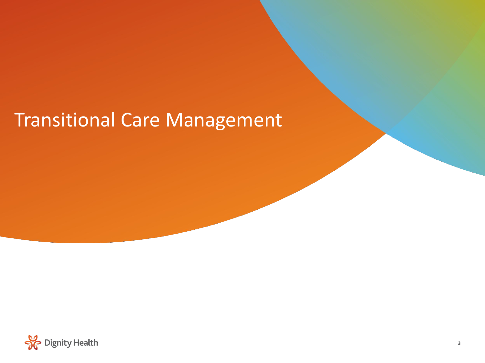## Transitional Care Management

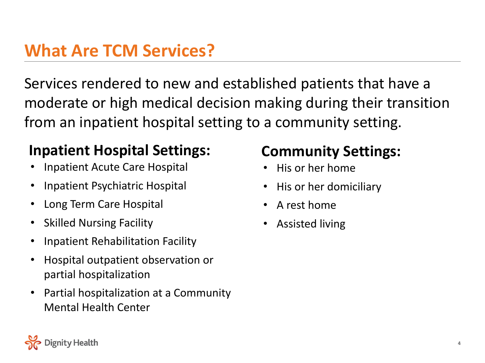#### **What Are TCM Services?**

Services rendered to new and established patients that have a moderate or high medical decision making during their transition from an inpatient hospital setting to a community setting.

#### **Inpatient Hospital Settings:**

- Inpatient Acute Care Hospital
- Inpatient Psychiatric Hospital
- Long Term Care Hospital
- Skilled Nursing Facility
- Inpatient Rehabilitation Facility
- Hospital outpatient observation or partial hospitalization
- Partial hospitalization at a Community Mental Health Center

#### **Community Settings:**

- His or her home
- His or her domiciliary
- A rest home
- Assisted living

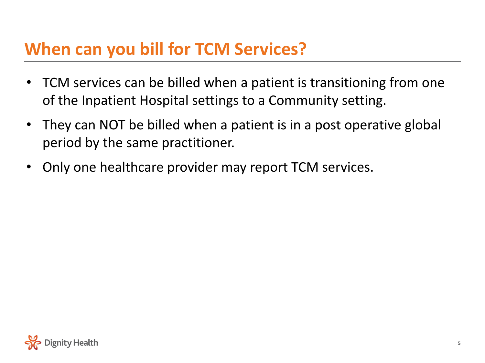### **When can you bill for TCM Services?**

- TCM services can be billed when a patient is transitioning from one of the Inpatient Hospital settings to a Community setting.
- They can NOT be billed when a patient is in a post operative global period by the same practitioner.
- Only one healthcare provider may report TCM services.

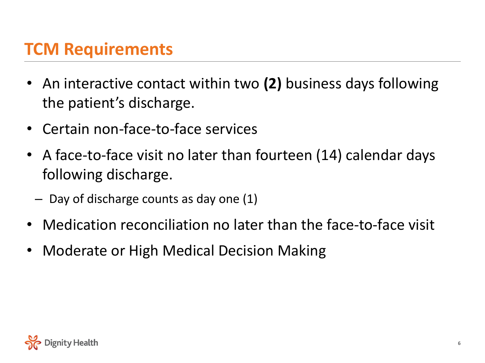### **TCM Requirements**

- An interactive contact within two **(2)** business days following the patient's discharge.
- Certain non-face-to-face services
- A face-to-face visit no later than fourteen (14) calendar days following discharge.
	- Day of discharge counts as day one (1)
- Medication reconciliation no later than the face-to-face visit
- Moderate or High Medical Decision Making

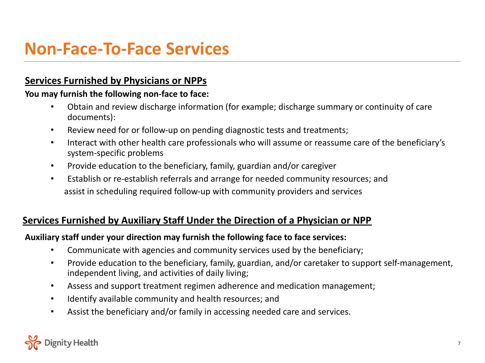#### **Non-Face-To-Face Services**

#### **Services Furnished by Physicians or NPPs**

#### **You may furnish the following non-face to face:**

- Obtain and review discharge information (for example; discharge summary or continuity of care documents):
- Review need for or follow-up on pending diagnostic tests and treatments;
- Interact with other health care professionals who will assume or reassume care of the beneficiary's system-specific problems
- Provide education to the beneficiary, family, guardian and/or caregiver
- Establish or re-establish referrals and arrange for needed community resources; and assist in scheduling required follow-up with community providers and services

#### **Services Furnished by Auxiliary Staff Under the Direction of a Physician or NPP**

#### **Auxiliary staff under your direction may furnish the following face to face services:**

- Communicate with agencies and community services used by the beneficiary;
- Provide education to the beneficiary, family, guardian, and/or caretaker to support self-management, independent living, and activities of daily living;
- Assess and support treatment regimen adherence and medication management;
- Identify available community and health resources; and
- Assist the beneficiary and/or family in accessing needed care and services.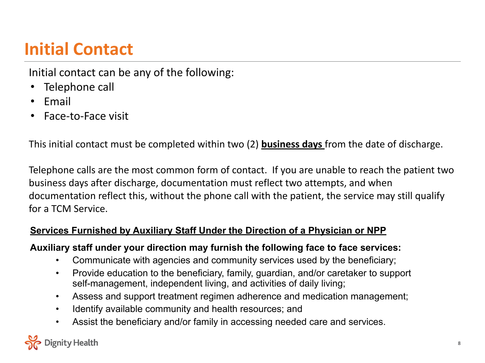### **Initial Contact**

Initial contact can be any of the following:

- Telephone call
- Email
- Face-to-Face visit

This initial contact must be completed within two (2) **business days** from the date of discharge.

Telephone calls are the most common form of contact. If you are unable to reach the patient two business days after discharge, documentation must reflect two attempts, and when documentation reflect this, without the phone call with the patient, the service may still qualify for a TCM Service.

#### **Services Furnished by Auxiliary Staff Under the Direction of a Physician or NPP**

#### **Auxiliary staff under your direction may furnish the following face to face services:**

- Communicate with agencies and community services used by the beneficiary;
- Provide education to the beneficiary, family, guardian, and/or caretaker to support self-management, independent living, and activities of daily living;
- Assess and support treatment regimen adherence and medication management;
- Identify available community and health resources; and
- Assist the beneficiary and/or family in accessing needed care and services.

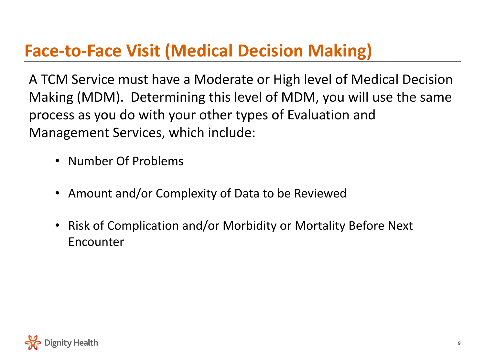### **Face-to-Face Visit (Medical Decision Making)**

A TCM Service must have a Moderate or High level of Medical Decision Making (MDM). Determining this level of MDM, you will use the same process as you do with your other types of Evaluation and Management Services, which include:

- Number Of Problems
- Amount and/or Complexity of Data to be Reviewed
- Risk of Complication and/or Morbidity or Mortality Before Next Encounter

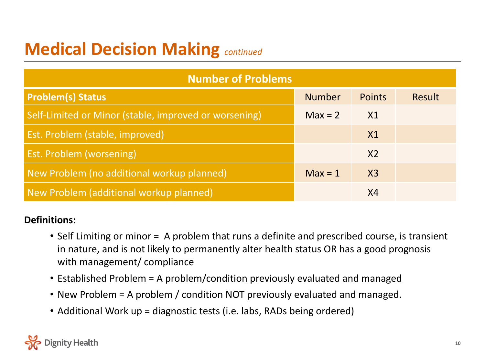### **Medical Decision Making** *continued*

| <b>Number of Problems</b>                             |               |                |        |  |  |  |
|-------------------------------------------------------|---------------|----------------|--------|--|--|--|
| <b>Problem(s) Status</b>                              | <b>Number</b> | <b>Points</b>  | Result |  |  |  |
| Self-Limited or Minor (stable, improved or worsening) | $Max = 2$     | X1             |        |  |  |  |
| Est. Problem (stable, improved)                       |               | X1             |        |  |  |  |
| <b>Est. Problem (worsening)</b>                       |               | X <sub>2</sub> |        |  |  |  |
| New Problem (no additional workup planned)            | $Max = 1$     | $X_3$          |        |  |  |  |
| New Problem (additional workup planned)               |               | X4             |        |  |  |  |

#### **Definitions:**

- Self Limiting or minor = A problem that runs a definite and prescribed course, is transient in nature, and is not likely to permanently alter health status OR has a good prognosis with management/ compliance
- Established Problem = A problem/condition previously evaluated and managed
- New Problem = A problem / condition NOT previously evaluated and managed.
- Additional Work up = diagnostic tests (i.e. labs, RADs being ordered)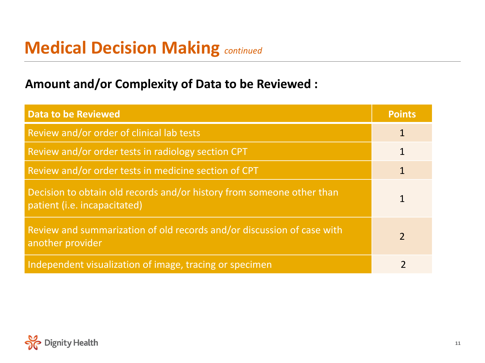#### **Medical Decision Making** *continued*

#### **Amount and/or Complexity of Data to be Reviewed :**

| <b>Data to be Reviewed</b>                                                                            | <b>Points</b> |
|-------------------------------------------------------------------------------------------------------|---------------|
| Review and/or order of clinical lab tests                                                             | $\mathbf{1}$  |
| Review and/or order tests in radiology section CPT                                                    |               |
| Review and/or order tests in medicine section of CPT                                                  |               |
| Decision to obtain old records and/or history from someone other than<br>patient (i.e. incapacitated) |               |
| Review and summarization of old records and/or discussion of case with<br>another provider            | $\mathcal{L}$ |
| Independent visualization of image, tracing or specimen                                               |               |

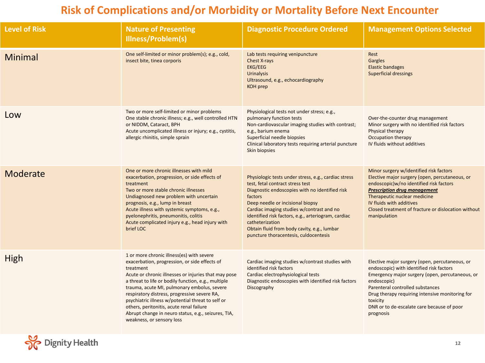#### **Risk of Complications and/or Morbidity or Mortality Before Next Encounter**

| <b>Level of Risk</b> | <b>Nature of Presenting</b><br><b>Illness/Problem(s)</b>                                                                                                                                                                                                                                                                                                                                                                                                                                                   | <b>Diagnostic Procedure Ordered</b>                                                                                                                                                                                                                                                                                                                                                                      | <b>Management Options Selected</b>                                                                                                                                                                                                                                                                                         |
|----------------------|------------------------------------------------------------------------------------------------------------------------------------------------------------------------------------------------------------------------------------------------------------------------------------------------------------------------------------------------------------------------------------------------------------------------------------------------------------------------------------------------------------|----------------------------------------------------------------------------------------------------------------------------------------------------------------------------------------------------------------------------------------------------------------------------------------------------------------------------------------------------------------------------------------------------------|----------------------------------------------------------------------------------------------------------------------------------------------------------------------------------------------------------------------------------------------------------------------------------------------------------------------------|
| <b>Minimal</b>       | One self-limited or minor problem(s); e.g., cold,<br>insect bite, tinea corporis                                                                                                                                                                                                                                                                                                                                                                                                                           | Lab tests requiring venipuncture<br>Chest X-rays<br>EKG/EEG<br><b>Urinalysis</b><br>Ultrasound, e.g., echocardiography<br><b>KOH</b> prep                                                                                                                                                                                                                                                                | Rest<br>Gargles<br><b>Elastic bandages</b><br><b>Superficial dressings</b>                                                                                                                                                                                                                                                 |
| Low                  | Two or more self-limited or minor problems<br>One stable chronic illness; e.g., well controlled HTN<br>or NIDDM, Cataract, BPH<br>Acute uncomplicated illness or injury; e.g., cystitis,<br>allergic rhinitis, simple sprain                                                                                                                                                                                                                                                                               | Physiological tests not under stress; e.g.,<br>pulmonary function tests<br>Non-cardiovascular imaging studies with contrast;<br>e.g., barium enema<br>Superficial needle biopsies<br>Clinical laboratory tests requiring arterial puncture<br>Skin biopsies                                                                                                                                              | Over-the-counter drug management<br>Minor surgery with no identified risk factors<br>Physical therapy<br>Occupation therapy<br>IV fluids without additives                                                                                                                                                                 |
| Moderate             | One or more chronic illnesses with mild<br>exacerbation, progression, or side effects of<br>treatment<br>Two or more stable chronic illnesses<br>Undiagnosed new problem with uncertain<br>prognosis, e.g., lump in breast<br>Acute illness with systemic symptoms, e.g.,<br>pyelonephritis, pneumonitis, colitis<br>Acute complicated injury e.g., head injury with<br>brief LOC                                                                                                                          | Physiologic tests under stress, e.g., cardiac stress<br>test, fetal contract stress test<br>Diagnostic endoscopies with no identified risk<br>factors<br>Deep needle or incisional biopsy<br>Cardiac imaging studies w/contrast and no<br>identified risk factors, e.g., arteriogram, cardiac<br>catheterization<br>Obtain fluid from body cavity, e.g., lumbar<br>puncture thoracentesis, culdocentesis | Minor surgery w/identified risk factors<br>Elective major surgery (open, percutaneous, or<br>endoscopic)w/no identified risk factors<br><b>Prescription drug management</b><br>Therapeutic nuclear medicine<br>IV fluids with additives<br>Closed treatment of fracture or dislocation without<br>manipulation             |
| High                 | 1 or more chronic illness(es) with severe<br>exacerbation, progression, or side effects of<br>treatment<br>Acute or chronic illnesses or injuries that may pose<br>a threat to life or bodily function, e.g., multiple<br>trauma, acute MI, pulmonary embolus, severe<br>respiratory distress, progressive severe RA,<br>psychiatric illness w/potential threat to self or<br>others, peritonitis, acute renal failure<br>Abrupt change in neuro status, e.g., seizures, TIA,<br>weakness, or sensory loss | Cardiac imaging studies w/contrast studies with<br>identified risk factors<br>Cardiac electrophysiological tests<br>Diagnostic endoscopies with identified risk factors<br>Discography                                                                                                                                                                                                                   | Elective major surgery (open, percutaneous, or<br>endoscopic) with identified risk factors<br>Emergency major surgery (open, percutaneous, or<br>endoscopic)<br>Parenteral controlled substances<br>Drug therapy requiring intensive monitoring for<br>toxicity<br>DNR or to de-escalate care because of poor<br>prognosis |

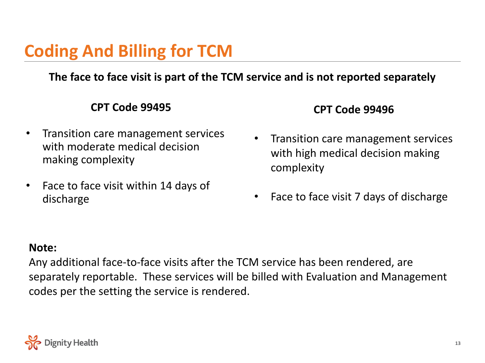### **Coding And Billing for TCM**

**The face to face visit is part of the TCM service and is not reported separately**

#### **CPT Code 99495**

- Transition care management services with moderate medical decision making complexity
- Face to face visit within 14 days of discharge

#### **CPT Code 99496**

- Transition care management services with high medical decision making complexity
- Face to face visit 7 days of discharge

#### **Note:**

Any additional face-to-face visits after the TCM service has been rendered, are separately reportable. These services will be billed with Evaluation and Management codes per the setting the service is rendered.

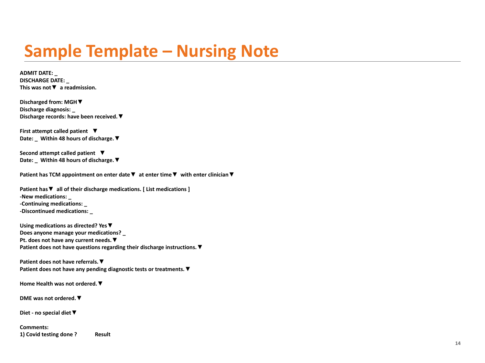### **Sample Template – Nursing Note**

**ADMIT DATE: \_ DISCHARGE DATE: \_ This was not▼ a readmission.**

**Discharged from: MGH▼ Discharge diagnosis: \_ Discharge records: have been received.▼** 

**First attempt called patient ▼ Date: \_ Within 48 hours of discharge.▼** 

**Second attempt called patient ▼ Date: \_ Within 48 hours of discharge.▼** 

**Patient has TCM appointment on enter date▼ at enter time▼ with enter clinician▼**

**Patient has▼ all of their discharge medications. [ List medications ] -New medications: \_ -Continuing medications: \_ -Discontinued medications: \_**

**Using medications as directed? Yes▼ Does anyone manage your medications? \_ Pt. does not have any current needs.▼ Patient does not have questions regarding their discharge instructions.▼** 

**Patient does not have referrals.▼ Patient does not have any pending diagnostic tests or treatments.▼** 

**Home Health was not ordered.▼** 

**DME was not ordered.▼** 

**Diet - no special diet▼** 

**Comments: 1) Covid testing done ? Result**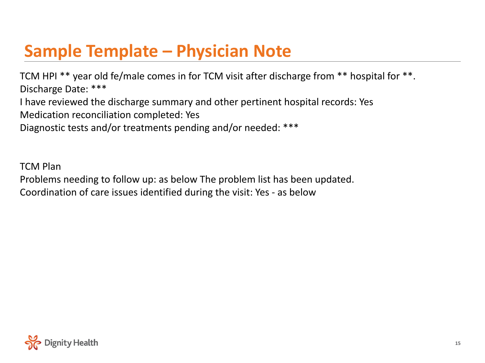### **Sample Template – Physician Note**

TCM HPI \*\* year old fe/male comes in for TCM visit after discharge from \*\* hospital for \*\*. Discharge Date: \*\*\* I have reviewed the discharge summary and other pertinent hospital records: Yes Medication reconciliation completed: Yes Diagnostic tests and/or treatments pending and/or needed: \*\*\*

TCM Plan

Problems needing to follow up: as below The problem list has been updated. Coordination of care issues identified during the visit: Yes - as below

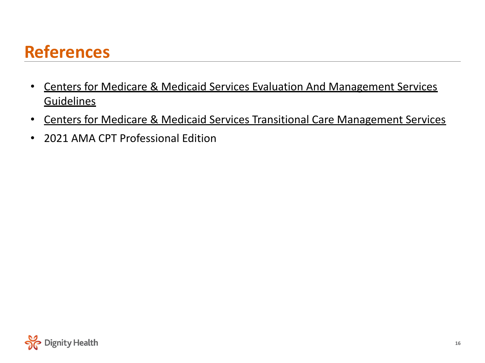### **References**

- [Centers for Medicare & Medicaid Services Evaluation And Management Services](https://www.cms.gov/Outreach-and-Education/Medicare-Learning-Network-MLN/MLNProducts/Downloads/eval-mgmt-serv-guide-ICN006764.pdf) **[Guidelines](https://www.cms.gov/Outreach-and-Education/Medicare-Learning-Network-MLN/MLNProducts/Downloads/eval-mgmt-serv-guide-ICN006764.pdf)**
- [Centers for Medicare & Medicaid Services Transitional Care Management Services](https://www.cms.gov/Outreach-and-Education/Medicare-Learning-Network-MLN/MLNProducts/downloads/Transitional-Care-Management-Services-Fact-Sheet-ICN908628.pdf)
- 2021 AMA CPT Professional Edition

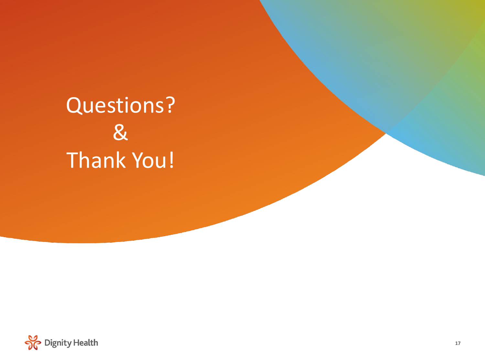# Questions? & Thank You!

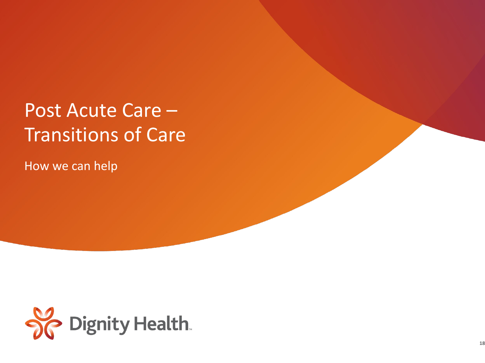# Post Acute Care – Transitions of Care

How we can help

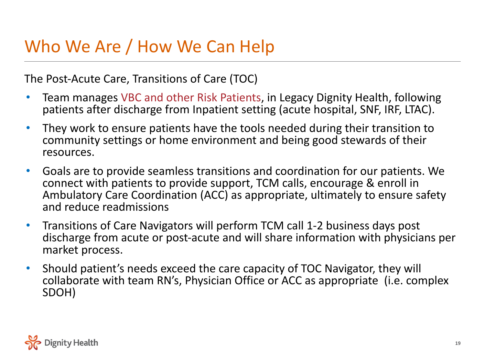#### Who We Are / How We Can Help

The Post-Acute Care, Transitions of Care (TOC)

- Team manages VBC and other Risk Patients, in Legacy Dignity Health, following patients after discharge from Inpatient setting (acute hospital, SNF, IRF, LTAC).
- They work to ensure patients have the tools needed during their transition to community settings or home environment and being good stewards of their resources.
- Goals are to provide seamless transitions and coordination for our patients. We connect with patients to provide support, TCM calls, encourage & enroll in Ambulatory Care Coordination (ACC) as appropriate, ultimately to ensure safety and reduce readmissions
- Transitions of Care Navigators will perform TCM call 1-2 business days post discharge from acute or post-acute and will share information with physicians per market process.
- Should patient's needs exceed the care capacity of TOC Navigator, they will collaborate with team RN's, Physician Office or ACC as appropriate (i.e. complex SDOH)

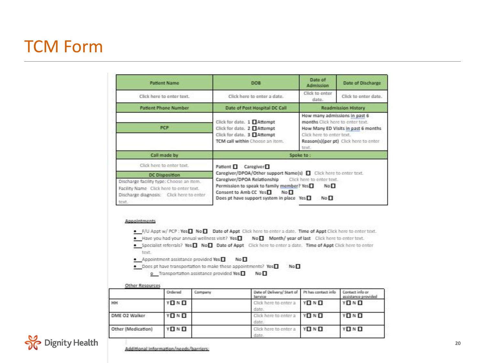### TCM Form

|                                                                                                                                          | <b>Patient Name</b>                   |         | <b>DOB</b>                                                                                                                                                                                                                                                                                                                                                                                                                                                                               | Date of<br><b>Admitssion</b>                                                                                                                                                            | Date of Discharge                      |  |
|------------------------------------------------------------------------------------------------------------------------------------------|---------------------------------------|---------|------------------------------------------------------------------------------------------------------------------------------------------------------------------------------------------------------------------------------------------------------------------------------------------------------------------------------------------------------------------------------------------------------------------------------------------------------------------------------------------|-----------------------------------------------------------------------------------------------------------------------------------------------------------------------------------------|----------------------------------------|--|
|                                                                                                                                          | Click here to enter text.             |         | Click here to enter a date.                                                                                                                                                                                                                                                                                                                                                                                                                                                              | Click to enter<br>date.                                                                                                                                                                 | Click to enter date.                   |  |
|                                                                                                                                          | <b>Patient Phone Number</b>           |         | Date of Post Hospital DC Call                                                                                                                                                                                                                                                                                                                                                                                                                                                            |                                                                                                                                                                                         | <b>Readmission History</b>             |  |
|                                                                                                                                          | PCP                                   |         | Click for date. 1 □ Attempt<br>Click for date. 2 □ Attempt<br>Click for date. 3 □ Attempt<br>TCM call within Choose an item.                                                                                                                                                                                                                                                                                                                                                             | How many admissions in past 6<br>months Click here to enter text.<br>How Many ED Visits in past 6 months<br>Click here to enter text.<br>Reason(s)(per pt) Click here to enter<br>text. |                                        |  |
|                                                                                                                                          | Call made by                          |         |                                                                                                                                                                                                                                                                                                                                                                                                                                                                                          | Spoke to:                                                                                                                                                                               |                                        |  |
|                                                                                                                                          | Click here to enter text.             |         | Patient Caregiver                                                                                                                                                                                                                                                                                                                                                                                                                                                                        |                                                                                                                                                                                         |                                        |  |
|                                                                                                                                          | <b>DC Disposition</b>                 |         | Caregiver/DPOA/Other support Name(s)   Click here to enter text.<br>Caregiver/DPOA Relationship                                                                                                                                                                                                                                                                                                                                                                                          | Click here to enter text.                                                                                                                                                               |                                        |  |
| Discharge facility type: Choose an item.<br>Facility Name Click here to enter text.<br>Discharge diagnosis: Click here to enter<br>text. |                                       |         | Permission to speak to family member? Yes<br>Consent to Amb CC Yes<br>No <sub>I</sub><br>Does pt have support system in place Yes                                                                                                                                                                                                                                                                                                                                                        | No <sub></sub><br>No <sub>n</sub>                                                                                                                                                       |                                        |  |
| Appointments<br>tout.<br>Other Resources                                                                                                 | · Appointment assistance provided Yes |         | . F/U Appt w/ PCP : Yes <sup>1</sup> No <sup>1</sup> Date of Appt Click here to enter a date. Time of Appt Click here to enter text.<br>Have you had your annual wellness visit? Yes   No   Month/ year of last Click here to enter text.<br>Specialist referrals? Yes Wo B Date of Appt Click here to enter a date. Time of Appt Click here to enter<br>NoП<br>. Does ot have transportation to make these appointments? Yes<br>o Transportation assistance provided Yes<br>No <b>n</b> | No <sub></sub>                                                                                                                                                                          |                                        |  |
|                                                                                                                                          | Ordered                               | Company | Date of Delivery/ Start of<br>Service                                                                                                                                                                                                                                                                                                                                                                                                                                                    | Pt has contact info                                                                                                                                                                     | Contact info or<br>assistance provided |  |
| HH                                                                                                                                       | YONO                                  |         | Click here to enter a<br>date.                                                                                                                                                                                                                                                                                                                                                                                                                                                           | Y <sub>n</sub> N <sub>n</sub>                                                                                                                                                           | YOND                                   |  |
| DME O2 Walker                                                                                                                            | YOND                                  |         | Click here to enter a<br>date.                                                                                                                                                                                                                                                                                                                                                                                                                                                           | YEINE                                                                                                                                                                                   | YOND                                   |  |
| Other (Medication)                                                                                                                       | YOND                                  |         | Click here to enter a                                                                                                                                                                                                                                                                                                                                                                                                                                                                    | YELNEL                                                                                                                                                                                  | YOND                                   |  |

date.

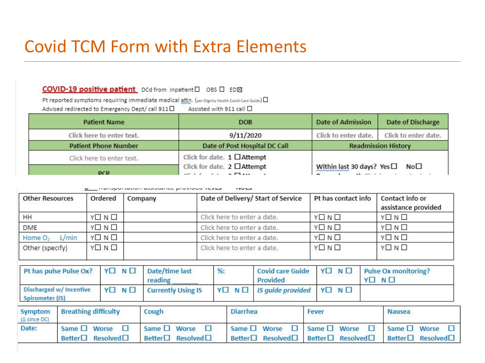### Covid TCM Form with Extra Elements

COVID-19 positive patient\_DCd from Inpatient □ OBS □ ED図

Pt reported symptoms requiring immediate medical attn. (per Dignity Health Covid Care Guide) [

Assisted with 911 call 0 Advised redirected to Emergency Dept/ call 911<sup>1</sup>

| <b>Patient Name</b>         | <b>DOB</b>                                                                       | <b>Date of Admission</b>                                                                    | Date of Discharge    |  |
|-----------------------------|----------------------------------------------------------------------------------|---------------------------------------------------------------------------------------------|----------------------|--|
| Click here to enter text.   | 9/11/2020                                                                        | Click to enter date.                                                                        | Click to enter date. |  |
| <b>Patient Phone Number</b> | Date of Post Hospital DC Call                                                    | <b>Readmission History</b>                                                                  |                      |  |
| Click here to enter text.   | Click for date. $1$ $\Box$ Attempt                                               |                                                                                             |                      |  |
| <b>DCD</b>                  | Click for date. $2$ $\Box$ Attempt<br>$e^{\mu} + f = 1 + \alpha \Box \alpha \mu$ | Within last 30 days? Yes□<br>$\mathbf{r}$ and $\mathbf{r}$ are $\mathbf{r}$ in $\mathbf{r}$ | No <sub>1</sub>      |  |

|                              | <b>D</b> Transportation assistance provided tested<br>$\sim$ |         |                                    |                     |                                        |  |  |  |
|------------------------------|--------------------------------------------------------------|---------|------------------------------------|---------------------|----------------------------------------|--|--|--|
| <b>Other Resources</b>       | Ordered                                                      | Company | Date of Delivery/ Start of Service | Pt has contact info | Contact info or<br>assistance provided |  |  |  |
| HH                           | YOND                                                         |         | Click here to enter a date.        | YOND                | YONO                                   |  |  |  |
| DME                          | YOND                                                         |         | Click here to enter a date.        | YOND                | YOND                                   |  |  |  |
| L/min<br>Home O <sub>2</sub> | YOND                                                         |         | Click here to enter a date.        | YOND                | YONO                                   |  |  |  |
| Other (specify)              | YOND                                                         |         | Click here to enter a date.        | YOND                | YOND                                   |  |  |  |

|                         | Pt has pulse Pulse Ox?      | YONO     | Date/time last<br>reading                                                 | %        | <b>Covid care Guide</b><br>Provided                        | YONO                                                  | YO NO | Pulse Ox monitoring?                                            |
|-------------------------|-----------------------------|----------|---------------------------------------------------------------------------|----------|------------------------------------------------------------|-------------------------------------------------------|-------|-----------------------------------------------------------------|
| Spirometer (IS)         | Discharged w/ Incentive     | YO NO    | <b>Currently Using IS</b>                                                 | YO NO    | IS quide provided                                          | YO NO                                                 |       |                                                                 |
| Symptom<br>(A since DC) | <b>Breathing difficulty</b> |          | Cough                                                                     | Diarrhea |                                                            | Fever                                                 |       | <b>Nausea</b>                                                   |
| Date:                   | Same □ Worse<br>Better      | Resolved | Same $\square$ Worse<br><b>TELESCOPE</b><br>Better $\Box$ Resolved $\Box$ |          | Same $\square$ Worse<br>п<br>$Better \Box$ Resolved $\Box$ | Same $\square$ Worse<br>$Better \Box$ Resolved $\Box$ | м     | Same $\square$ Worse $\square$<br>$Better \Box$ Resolved $\Box$ |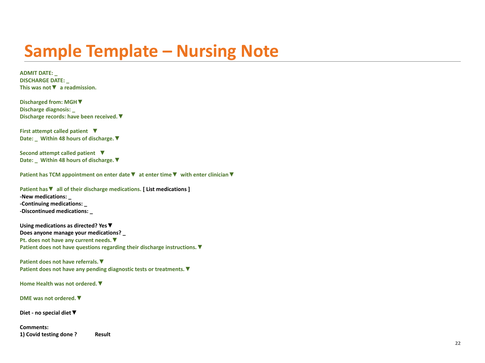### **Sample Template – Nursing Note**

**ADMIT DATE: \_ DISCHARGE DATE: \_ This was not▼ a readmission.**

**Discharged from: MGH▼ Discharge diagnosis: \_ Discharge records: have been received.▼** 

**First attempt called patient ▼ Date: \_ Within 48 hours of discharge.▼** 

**Second attempt called patient ▼ Date: \_ Within 48 hours of discharge.▼** 

**Patient has TCM appointment on enter date▼ at enter time▼ with enter clinician▼**

**Patient has▼ all of their discharge medications. [ List medications ] -New medications: \_**

**-Continuing medications: \_ -Discontinued medications: \_**

**Using medications as directed? Yes▼ Does anyone manage your medications? \_ Pt. does not have any current needs.▼ Patient does not have questions regarding their discharge instructions.▼** 

**Patient does not have referrals.▼ Patient does not have any pending diagnostic tests or treatments.▼** 

**Home Health was not ordered.▼** 

**DME was not ordered.▼** 

**Diet - no special diet▼** 

**Comments: 1) Covid testing done ? Result**